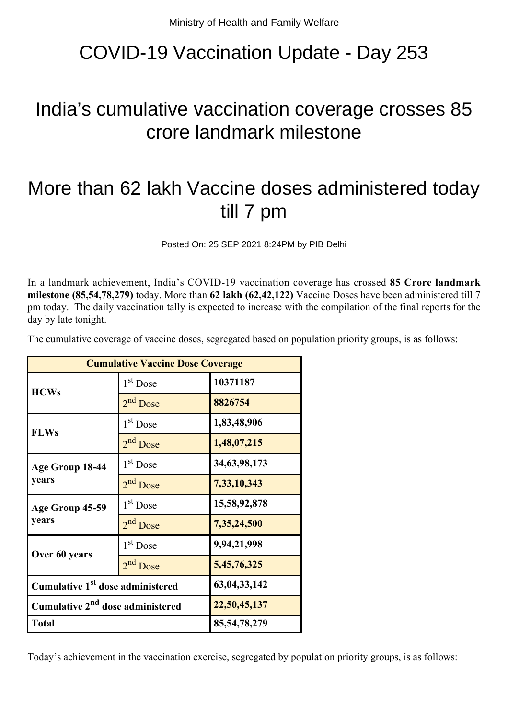## COVID-19 Vaccination Update - Day 253

## India's cumulative vaccination coverage crosses 85 crore landmark milestone

## More than 62 lakh Vaccine doses administered today till 7 pm

Posted On: 25 SEP 2021 8:24PM by PIB Delhi

In a landmark achievement, India's COVID-19 vaccination coverage has crossed **85 Crore landmark milestone (85,54,78,279)** today. More than **62 lakh (62,42,122)** Vaccine Doses have been administered till 7 pm today. The daily vaccination tally is expected to increase with the compilation of the final reports for the day by late tonight.

The cumulative coverage of vaccine doses, segregated based on population priority groups, is as follows:

| <b>Cumulative Vaccine Dose Coverage</b>      |                      |                 |
|----------------------------------------------|----------------------|-----------------|
| <b>HCWs</b>                                  | $1st$ Dose           | 10371187        |
|                                              | $2nd$ Dose           | 8826754         |
| <b>FLWs</b>                                  | 1 <sup>st</sup> Dose | 1,83,48,906     |
|                                              | 2 <sup>nd</sup> Dose | 1,48,07,215     |
| Age Group 18-44<br>years                     | 1 <sup>st</sup> Dose | 34, 63, 98, 173 |
|                                              | 2 <sup>nd</sup> Dose | 7,33,10,343     |
| Age Group 45-59<br>years                     | $1st$ Dose           | 15,58,92,878    |
|                                              | $2nd$ Dose           | 7,35,24,500     |
| Over 60 years                                | 1 <sup>st</sup> Dose | 9,94,21,998     |
|                                              | 2 <sup>nd</sup> Dose | 5,45,76,325     |
| Cumulative 1 <sup>st</sup> dose administered |                      | 63, 04, 33, 142 |
| Cumulative 2 <sup>nd</sup> dose administered |                      | 22,50,45,137    |
| <b>Total</b>                                 |                      | 85, 54, 78, 279 |

Today's achievement in the vaccination exercise, segregated by population priority groups, is as follows: